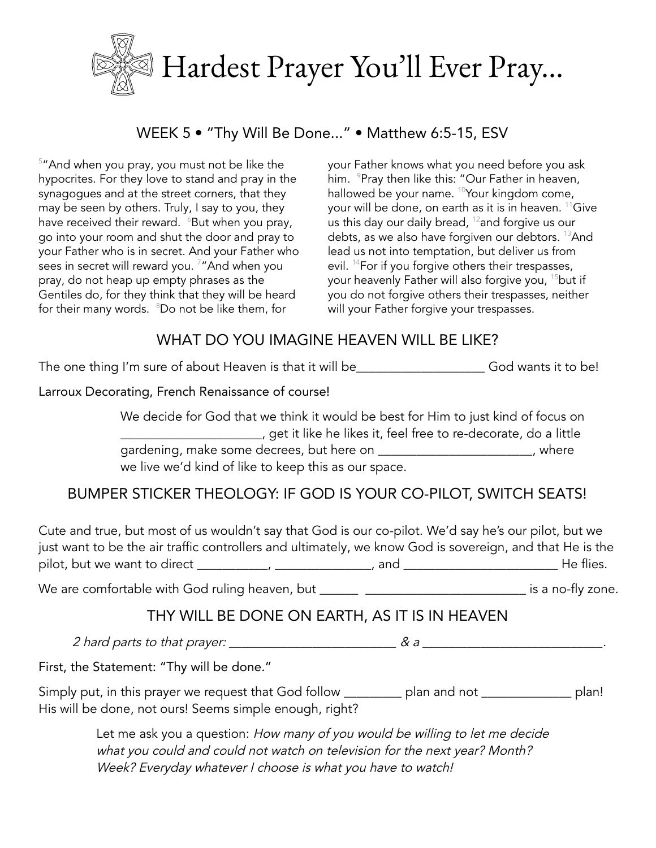

### WEEK 5 • "Thy Will Be Done..." • Matthew 6:5-15, ESV

<sup>5</sup> "And when you pray, you must not be like the hypocrites. For they love to stand and pray in the synagogues and at the street corners, that they may be seen by others. Truly, I say to you, they have received their reward.  $\,{}^{\circ}$ But when you pray, go into your room and shut the door and pray to your Father who is in secret. And your Father who sees in secret will reward you. <sup>7</sup>"And when you pray, do not heap up empty phrases as the Gentiles do, for they think that they will be heard for their many words. <sup>8</sup>Do not be like them, for

your Father knows what you need before you ask him. <sup>9</sup>Pray then like this: "Our Father in heaven, hallowed be your name. <sup>10</sup>Your kingdom come, your will be done, on earth as it is in heaven. <sup>11</sup>Give us this day our daily bread,  $^{12}$ and forgive us our debts, as we also have forgiven our debtors. <sup>13</sup>And lead us not into temptation, but deliver us from evil. <sup>14</sup>For if you forgive others their trespasses, your heavenly Father will also forgive you, <sup>15</sup>but if you do not forgive others their trespasses, neither will your Father forgive your trespasses.

### WHAT DO YOU IMAGINE HEAVEN WILL BE LIKE?

The one thing I'm sure of about Heaven is that it will be\_\_\_\_\_\_\_\_\_\_\_\_\_\_\_\_\_\_\_\_\_\_\_ God wants it to be!

Larroux Decorating, French Renaissance of course!

We decide for God that we think it would be best for Him to just kind of focus on \_\_\_\_\_\_\_\_\_\_\_\_\_\_\_\_\_\_\_\_\_\_, get it like he likes it, feel free to re-decorate, do a little gardening, make some decrees, but here on \_\_\_\_\_\_\_\_\_\_\_\_\_\_\_\_\_\_\_\_\_\_\_\_\_\_, where we live we'd kind of like to keep this as our space.

## BUMPER STICKER THEOLOGY: IF GOD IS YOUR CO-PILOT, SWITCH SEATS!

Cute and true, but most of us wouldn't say that God is our co-pilot. We'd say he's our pilot, but we just want to be the air traffic controllers and ultimately, we know God is sovereign, and that He is the pilot, but we want to direct \_\_\_\_\_\_\_\_\_\_\_, \_\_\_\_\_\_\_\_\_\_\_\_\_\_\_, and \_\_\_\_\_\_\_\_\_\_\_\_\_\_\_\_\_\_\_\_\_\_\_\_ He flies.

We are comfortable with God ruling heaven, but \_\_\_\_\_\_ \_\_\_\_\_\_\_\_\_\_\_\_\_\_\_\_\_\_\_\_\_\_\_\_\_\_\_ is a no-fly zone.

#### THY WILL BE DONE ON EARTH, AS IT IS IN HEAVEN

<sup>2</sup> hard parts to that prayer: \_\_\_\_\_\_\_\_\_\_\_\_\_\_\_\_\_\_\_\_\_\_\_\_\_\_ & <sup>a</sup> \_\_\_\_\_\_\_\_\_\_\_\_\_\_\_\_\_\_\_\_\_\_\_\_\_\_\_\_.

First, the Statement: "Thy will be done."

Simply put, in this prayer we request that God follow \_\_\_\_\_\_\_\_\_ plan and not \_\_\_\_\_\_\_\_\_\_\_\_\_\_ plan! His will be done, not ours! Seems simple enough, right?

> Let me ask you a question: How many of you would be willing to let me decide what you could and could not watch on television for the next year? Month? Week? Everyday whatever I choose is what you have to watch!